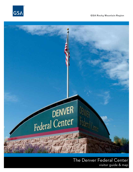

**GSA Rocky Mountain Region**



The Denver Federal Center visitor guide & map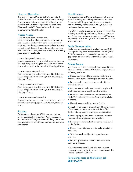# Hours of Operation

The Denver Federal Center (DFC) is open to the public from 6:00 a.m. to 6:00 p.m., Monday through Friday, except federal holidays. After-hours admittance must be authorized prior to required date. Please call the DFC Service Center for further information at 303.236.8000.

# Visitor Access

**Gate 1** *Kipling near Alameda Ave.* Lane 1 is for visitors, Lanes 2 and 3 are for employees. Lane 2 is the 24 hr key card access on weekends and after hours. Any weekend deliveries would come through Gate 1. Hours of operation are from 6:00 a.m. to 6:00 p.m., Monday - Friday. **It is the only gate open on weekends.** 

### **Gate 2** *Kipling and Center Ave.*

Employee access only and all deliveries are to come through this gate during the week. Hours of operation are from 5:30 AM to 6:00 PM, Monday - Friday.

#### **Gate 4** *Union and Fourth Ave.*

Both employee and visitor entrance. No deliveries. Hours of operation are from 5:30 a.m. to 6:00 p.m., Monday - Friday.

#### **Gate 5** *Union and Second Pl.*

Both employee and visitor entrance. No deliveries. Hours of operation are from 5:30 a.m. to 6:00 p.m., Monday - Friday.

#### **Gate 7** *Alameda and Seventh St.*

Employee entrance only and no deliveries. Hours of operation are from 5:45 a.m. to 6:00 p.m., Monday - Friday.

## Parking

Parking throughout the DFC is open to visitors unless specifically designated. Visitor spaces are located near building entrances. Parking spaces are designated as 30 minute one-hour or two-hour duration spaces.

# Credit Unions

The Credit Union of Denver is located on the lower floor of Building 67, and is open Monday, Tuesday, Thursday and Friday from 8:00 a.m. to 3:00 p.m., and Wednesday from 9:00 a.m. to 3:30 p.m. They can be reached at 303.234.1700.

The GSA Foothills Credit Union Branch, is located in Building 41, and is open Monday, Tuesday, Thursday and Friday from 8:00 a.m. to 3:15 p.m., and Wednesday from 9:00 a.m. to 4:30 p.m. They can be reached at 303.236.7283.

## Public Transportation

Public bus transportation is available on the DFC through the Regional Transportation District (RTD). For information on routes and schedules, call 303.299.6000 or visit the RTD Website at www.rtddenver.com.

## Safe & Secure

In order to make this facility safe for you and those who work here, we request that you comply with the following guidelines:

■ Please be prepared to present a valid driver's license and current vehicle registration at the gate.

■ For your safety, seat belts are required to be worn at all times.

■ Only service animals used to assist people with disabilities may be brought onto the facility.

■ Firearms and explosives are not permitted on the DFC (carried or possessed), except for official purposes.

■ Narcotics are prohibited on the facility.

■ Alcoholic beverages are prohibited from all areas of the facility with the exception of the softball fields, and only canned beverages are permitted.

■ Smoking is prohibited in all buildings. Outdoor designated smoking areas are provided.

■ Private or commercial solicitation is not allowed on the facility.

■ Please secure bicycles only to racks at building entrances.

■ Vehicles may be subject to inspection upon entrance.

■ For your protection, closed circuit television cameras are in use.

Please drive in a careful and safe manner at all times and comply with signals and directions of the Federal Protective Officers.

For emergencies on the facility, call 888.999.4777.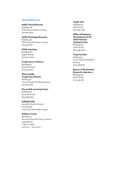# Quick Reference

# **NARA Textual Records**

Building 48 Fifth Street & North Avenue 303.407.5740

# **NARA Genealogy Research**

Building 46 Fifth Street & Center Avenue 303.407.5751

# **USGS Map Sales**

Building 810 Eighth Street 303.202.4700

## **Credit Union of Denver** Building 67 Seventh Street 303.234.1700

**GSA Foothills Credit Union Branch** Building 41 Fourth Street & Federal Avenue 303.236.7283

# **Clever Kids Learning Center** Building 64 Seventh Street 303.236.9400

**Softball Fields** Seventh Street by Gate 7 John Barder email: john.barder@mms.gov

# **Wellness Center**

Building 75 Seventh Street & Center Avenue 303.236.6911 7 days a week, 4:00 a.m. - 10:00 p.m.

# **Health Unit**

Building 40 Fifth Street 303.236.3333

## **Office of Employee Development at the USGS National Training Center** Building 53 Sixth Street 303.445.4660

#### **Property Sales**

Building 41 Fourth Street & Federal Avenue 303.236.8109

## **Bureau of Reclamation Research Laboratory** Building 56 Sixth Street

303.445.2151